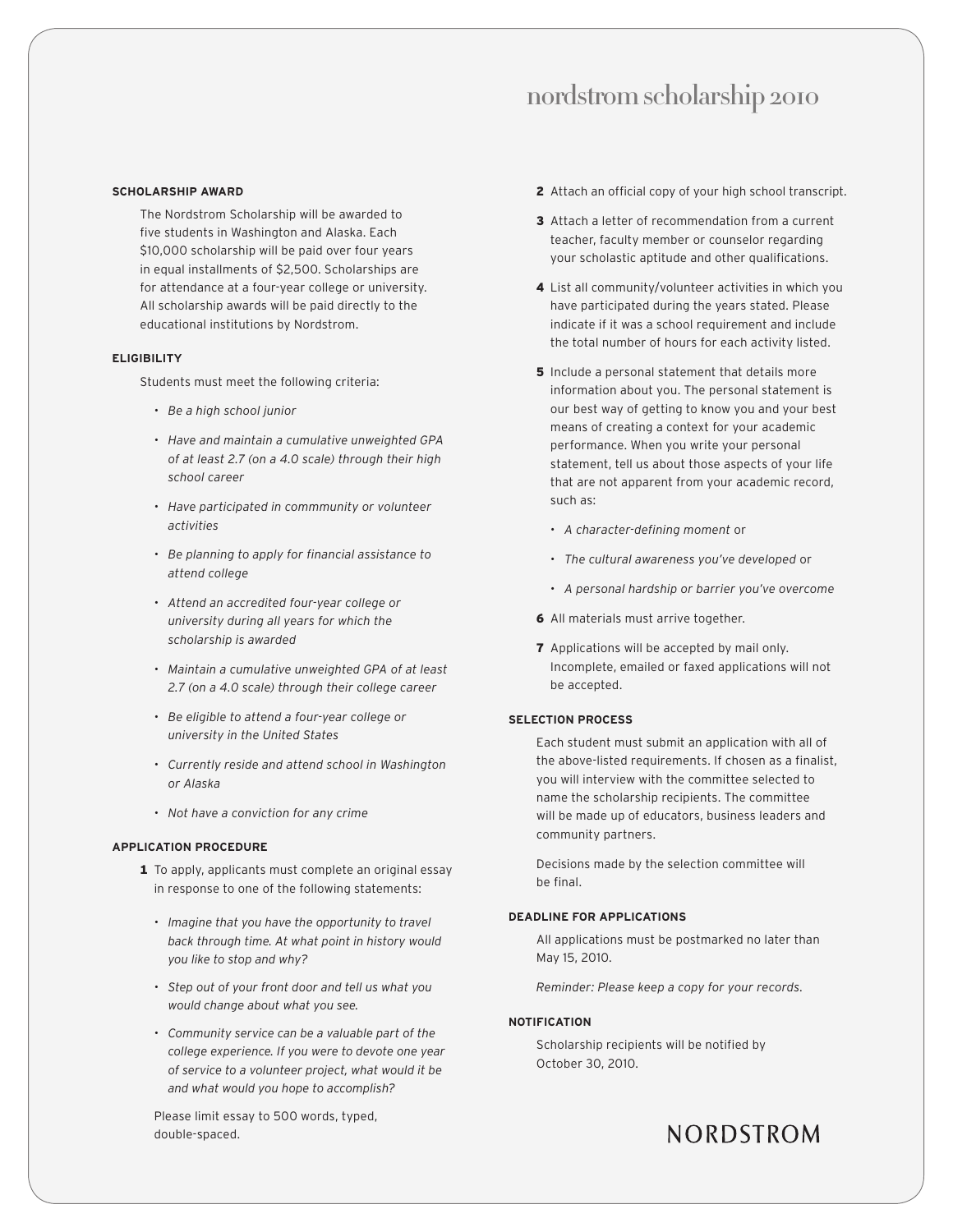### nordstrom scholarship 2010

#### **SCHOLARSHIP AWARD**

The Nordstrom Scholarship will be awarded to five students in Washington and Alaska. Each \$10,000 scholarship will be paid over four years in equal installments of \$2,500. Scholarships are for attendance at a four-year college or university. All scholarship awards will be paid directly to the educational institutions by Nordstrom.

#### **ELIGIBILITY**

Students must meet the following criteria:

- *• Be a high school junior*
- *• Have and maintain a cumulative unweighted GPA of at least 2.7 (on a 4.0 scale) through their high school career*
- *• Have participated in commmunity or volunteer activities*
- *• Be planning to apply for financial assistance to attend college*
- *• Attend an accredited four-year college or university during all years for which the scholarship is awarded*
- *• Maintain a cumulative unweighted GPA of at least 2.7 (on a 4.0 scale) through their college career*
- *• Be eligible to attend a four-year college or university in the United States*
- *• Currently reside and attend school in Washington or Alaska*
- *• Not have a conviction for any crime*

#### **APPLICATION PROCEDURE**

- 1 To apply, applicants must complete an original essay in response to one of the following statements:
	- *• Imagine that you have the opportunity to travel back through time. At what point in history would you like to stop and why?*
	- *• Step out of your front door and tell us what you would change about what you see.*
	- *• Community service can be a valuable part of the college experience. If you were to devote one year of service to a volunteer project, what would it be and what would you hope to accomplish?*

Please limit essay to 500 words, typed, double-spaced.

- 2 Attach an official copy of your high school transcript.
- 3 Attach a letter of recommendation from a current teacher, faculty member or counselor regarding your scholastic aptitude and other qualifications.
- 4 List all community/volunteer activities in which you have participated during the years stated. Please indicate if it was a school requirement and include the total number of hours for each activity listed.
- **5** Include a personal statement that details more information about you. The personal statement is our best way of getting to know you and your best means of creating a context for your academic performance. When you write your personal statement, tell us about those aspects of your life that are not apparent from your academic record, such as:
	- *• A character-defining moment* or
	- *• The cultural awareness you've developed* or
	- *• A personal hardship or barrier you've overcome*
- 6 All materials must arrive together.
- **7** Applications will be accepted by mail only. Incomplete, emailed or faxed applications will not be accepted.

#### **SELECTION PROCESS**

Each student must submit an application with all of the above-listed requirements. If chosen as a finalist, you will interview with the committee selected to name the scholarship recipients. The committee will be made up of educators, business leaders and community partners.

Decisions made by the selection committee will be final.

#### **DEADLINE FOR APPLICATIONS**

All applications must be postmarked no later than May 15, 2010.

*Reminder: Please keep a copy for your records.*

#### **NOTIFICATION**

Scholarship recipients will be notified by October 30, 2010.

### NORDSTROM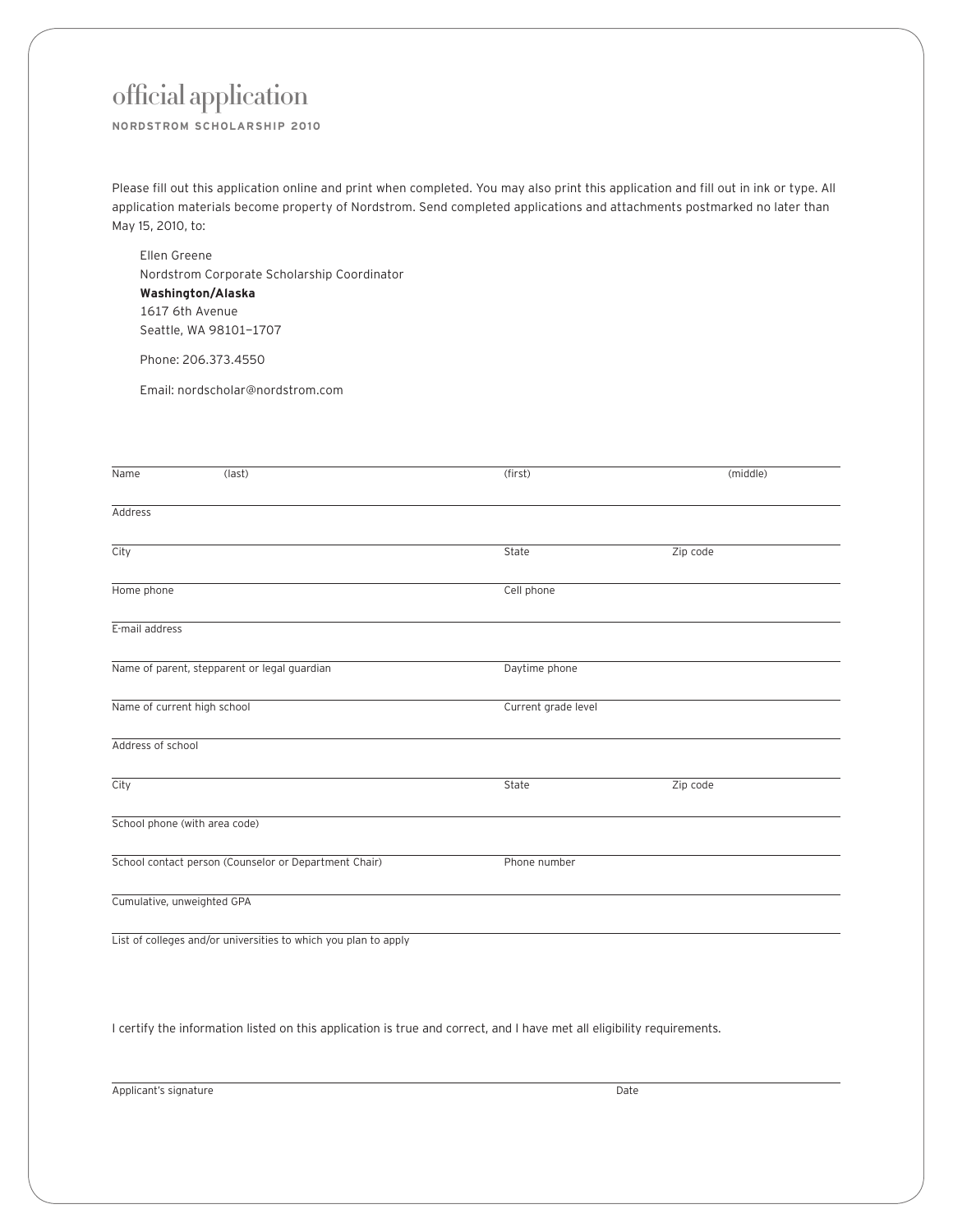# official application

**NORDSTROM SCHOLARSHIP 2010**

Please fill out this application online and print when completed. You may also print this application and fill out in ink or type. All application materials become property of Nordstrom. Send completed applications and attachments postmarked no later than May 15, 2010, to:

Ellen Greene Nordstrom Corporate Scholarship Coordinator **Washington/Alaska** 1617 6th Avenue Seattle, WA 98101-1707

Phone: 206.373.4550

Email: nordscholar@nordstrom.com

| Name                        | (last)                                                | (first)             | (middle) |
|-----------------------------|-------------------------------------------------------|---------------------|----------|
| Address                     |                                                       |                     |          |
| City                        |                                                       | State               | Zip code |
| Home phone                  |                                                       | Cell phone          |          |
| E-mail address              |                                                       |                     |          |
|                             | Name of parent, stepparent or legal guardian          | Daytime phone       |          |
| Name of current high school |                                                       | Current grade level |          |
| Address of school           |                                                       |                     |          |
| City                        |                                                       | State               | Zip code |
|                             | School phone (with area code)                         |                     |          |
|                             | School contact person (Counselor or Department Chair) | Phone number        |          |
| Cumulative, unweighted GPA  |                                                       |                     |          |
|                             |                                                       |                     |          |

List of colleges and/or universities to which you plan to apply

I certify the information listed on this application is true and correct, and I have met all eligibility requirements.

Applicant's signature Date Date of the Date of the Date of the Date of the Date of the Date of the Date of the Date of the Date of the Date of the Date of the Date of the Date of the Date of the Date of the Date of the Dat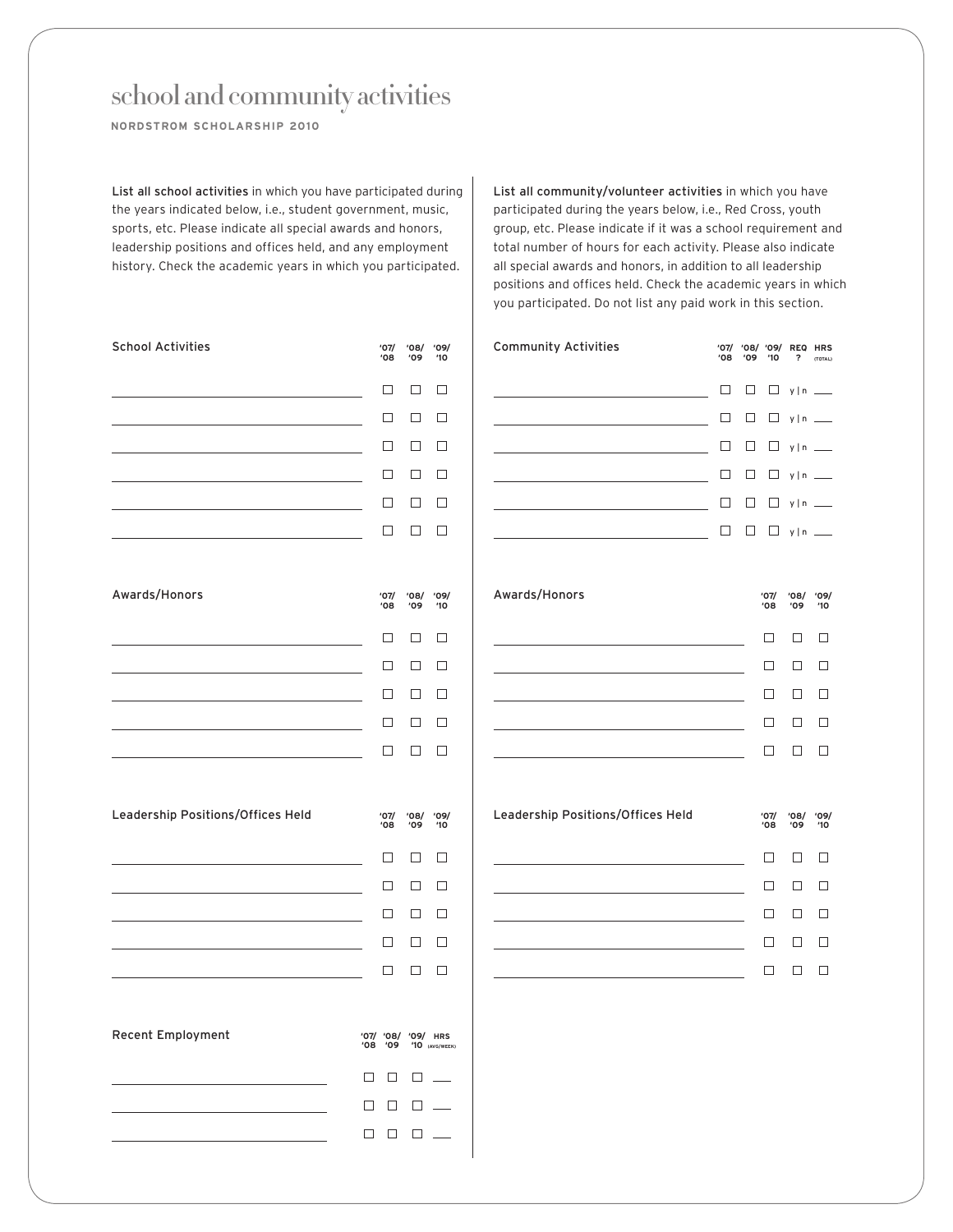school and community activities

**NORDSTROM SCHOLARSHIP 2010**

List all school activities in which you have participated during the years indicated below, i.e., student government, music, sports, etc. Please indicate all special awards and honors, leadership positions and offices held, and any employment history. Check the academic years in which you participated.

| <b>School Activities</b>          | '07/<br><b>'08</b>         | '08/<br>'09 | '09/<br>'10                  |
|-----------------------------------|----------------------------|-------------|------------------------------|
|                                   | $\Box$                     | $\Box$      | □                            |
|                                   | ⊔                          | □           | □                            |
|                                   | $\Box$                     | $\Box$      | П                            |
|                                   | $\Box$                     | □           | П                            |
|                                   | $\Box$                     | $\Box$      | □                            |
|                                   | □                          | □           | □                            |
| Awards/Honors                     | '07/<br>'08                | '08/<br>'09 | '09/<br>'10                  |
|                                   | □                          | $\Box$      | □                            |
|                                   | □                          | □           | $\Box$                       |
|                                   | $\Box$                     | □           | □                            |
|                                   | □                          | □           | □                            |
|                                   | □                          | $\Box$      | □                            |
| Leadership Positions/Offices Held | '07/<br>08'                | '08/<br>'09 | '09/<br>$10^{\circ}$         |
|                                   | □                          | □           | □                            |
|                                   | □                          | □           | □                            |
|                                   | $\Box$                     | □           | П                            |
|                                   | $\Box$                     | $\Box$      | $\Box$                       |
|                                   | $\Box$                     | $\Box$      | □                            |
| Recent Employment                 | /09/ /80 /70<br>09'<br>08' |             | <b>HRS</b><br>'10 (AVG/WEEK) |
|                                   | $\Box$<br>□                | $\Box$      |                              |
|                                   | $\Box$<br>□                | □           |                              |
|                                   | $\Box$<br>$\Box$           | $\Box$      |                              |

List all community/volunteer activities in which you have participated during the years below, i.e., Red Cross, youth group, etc. Please indicate if it was a school requirement and total number of hours for each activity. Please also indicate all special awards and honors, in addition to all leadership positions and offices held. Check the academic years in which you participated. Do not list any paid work in this section.

| <b>Community Activities</b>       | '07/<br><b>'08</b> | '09 | '08/ '09/<br>10 | <b>REQ</b><br>?         | <b>HRS</b><br>(TOTAL)    |
|-----------------------------------|--------------------|-----|-----------------|-------------------------|--------------------------|
|                                   | П                  | П   | □               | y   n                   | $\sim$                   |
|                                   | П                  | П   | □               | y   n                   |                          |
|                                   | П                  | П   | □               | y   n                   | $\overline{\phantom{0}}$ |
|                                   | $\Box$             | □   | □               | $y \mid n =$            |                          |
|                                   | Ŋ                  | ٦   | $\Box$          | y   n                   |                          |
|                                   | П                  | П   | $\Box$          | $y \mid n$ <sub>-</sub> |                          |
|                                   |                    |     |                 |                         |                          |
| Awards/Honors                     |                    |     | '07/<br>'08     | '08/<br>'09             | '09/<br>$10^{\circ}$     |
|                                   |                    |     | П               | П                       | П                        |
|                                   |                    |     | □               | П                       | П                        |
|                                   |                    |     | П               | П                       | П                        |
|                                   |                    |     | П               | П                       |                          |
|                                   |                    |     | П               | П                       | П                        |
|                                   |                    |     |                 |                         |                          |
| Leadership Positions/Offices Held |                    |     | '07/<br>'08     | '08/<br><b>'09</b>      | '09/<br>10'              |
|                                   |                    |     | П               | П                       | П                        |
|                                   |                    |     | □               | □                       | П                        |
|                                   |                    |     | П               | П                       | $\Box$                   |
|                                   |                    |     | П               | П                       |                          |
|                                   |                    |     | ٦               | ┐                       | П                        |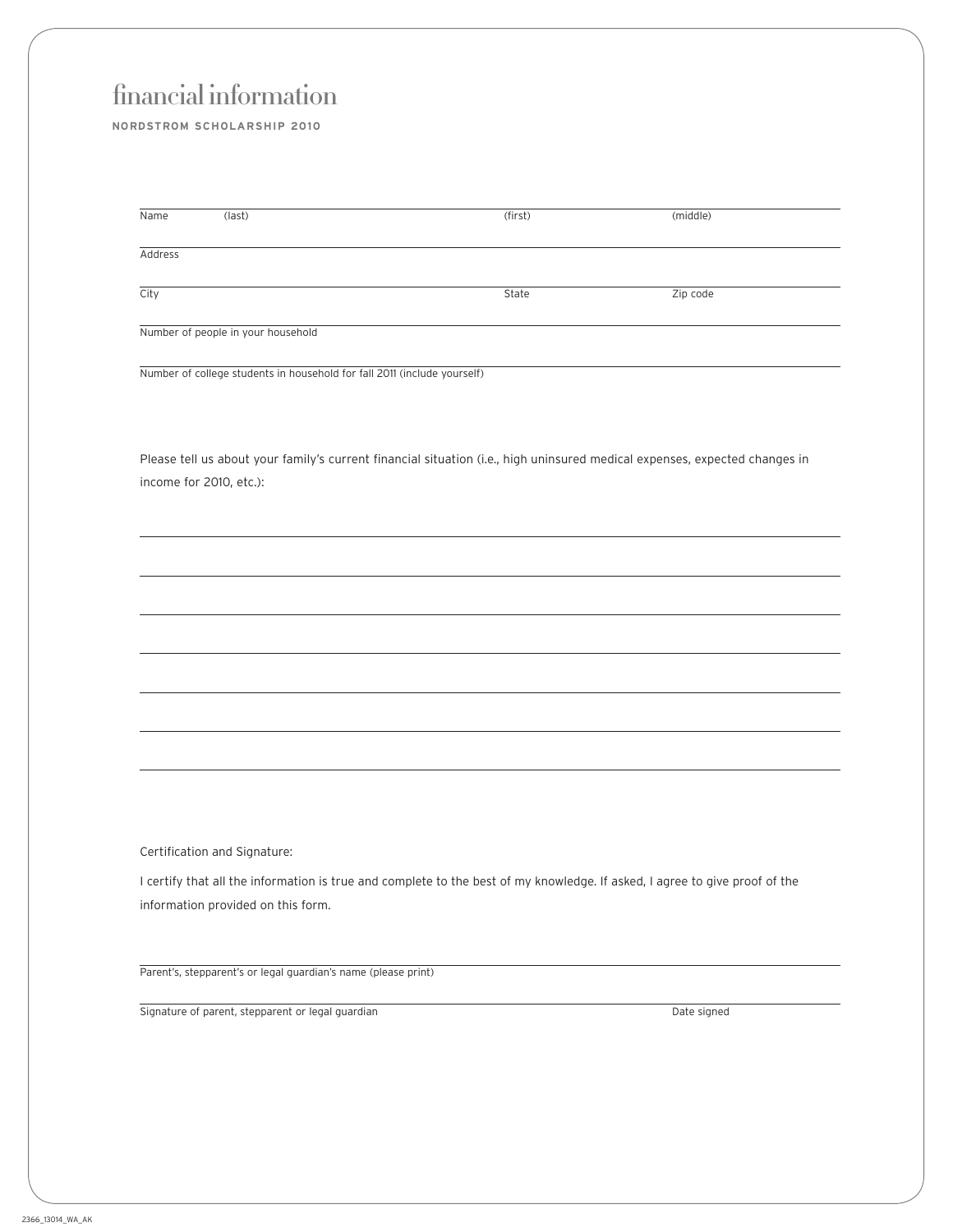## financial information

**NORDSTROM SCHOLARSHIP 2010**

| Name    | (last) | (first) | (middle) |
|---------|--------|---------|----------|
| Address |        |         |          |
| City    |        | State   | Zip code |

Number of people in your household

Number of college students in household for fall 2011 (include yourself)

Please tell us about your family's current financial situation (i.e., high uninsured medical expenses, expected changes in income for 2010, etc.):

Certification and Signature:

I certify that all the information is true and complete to the best of my knowledge. If asked, I agree to give proof of the information provided on this form.

Parent's, stepparent's or legal guardian's name (please print)

Signature of parent, stepparent or legal guardian Date signed Date signed Date signed